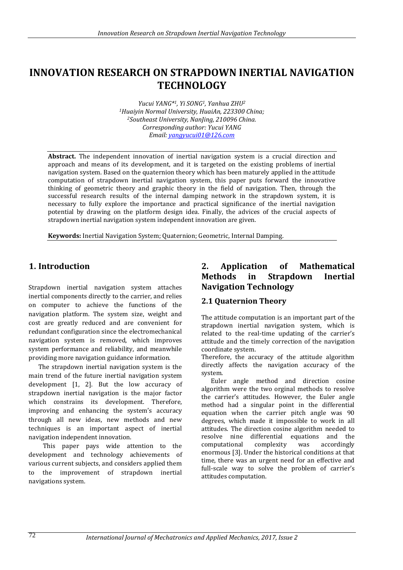# **INNOVATION RESEARCH ON STRAPDOWN INERTIAL NAVIGATION TECHNOLOGY**

*Yucui YANG\*1, Yi SONG1, Yanhua ZHU<sup>2</sup> <sup>1</sup>Huaiyin Normal University, HuaiAn, 223300 China; <sup>2</sup>Southeast University, NanJing, 210096 China. Corresponding author: Yucui YANG Email[: yangyucui01@126.com](mailto:yangyucui01@126.com)*

**Abstract.** The independent innovation of inertial navigation system is a crucial direction and approach and means of its development, and it is targeted on the existing problems of inertial navigation system. Based on the quaternion theory which has been maturely applied in the attitude computation of strapdown inertial navigation system, this paper puts forward the innovative thinking of geometric theory and graphic theory in the field of navigation. Then, through the successful research results of the internal damping network in the strapdown system, it is necessary to fully explore the importance and practical significance of the inertial navigation potential by drawing on the platform design idea. Finally, the advices of the crucial aspects of strapdown inertial navigation system independent innovation are given.

**Keywords:** Inertial Navigation System; Quaternion; Geometric, Internal Damping.

### **1. Introduction**

Strapdown inertial navigation system attaches inertial components directly to the carrier, and relies on computer to achieve the functions of the navigation platform. The system size, weight and cost are greatly reduced and are convenient for redundant configuration since the electromechanical navigation system is removed, which improves system performance and reliability, and meanwhile providing more navigation guidance information.

The strapdown inertial navigation system is the main trend of the future inertial navigation system development [1, 2]. But the low accuracy of strapdown inertial navigation is the major factor which constrains its development. Therefore, improving and enhancing the system's accuracy through all new ideas, new methods and new techniques is an important aspect of inertial navigation independent innovation.

This paper pays wide attention to the development and technology achievements of various current subjects, and considers applied them to the improvement of strapdown inertial navigations system.

# **2. Application of Mathematical Methods in Strapdown Inertial Navigation Technology**

#### **2.1 Quaternion Theory**

The attitude computation is an important part of the strapdown inertial navigation system, which is related to the real-time updating of the carrier's attitude and the timely correction of the navigation coordinate system.

Therefore, the accuracy of the attitude algorithm directly affects the navigation accuracy of the system.

Euler angle method and direction cosine algorithm were the two orginal methods to resolve the carrier's attitudes. However, the Euler angle method had a singular point in the differential equation when the carrier pitch angle was 90 degrees, which made it impossible to work in all attitudes. The direction cosine algorithm needed to resolve nine differential equations and the computational complexity was accordingly enormous [3]. Under the historical conditions at that time, there was an urgent need for an effective and full-scale way to solve the problem of carrier's attitudes computation.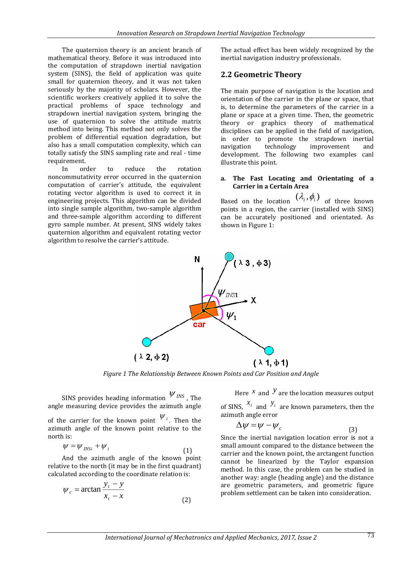The quaternion theory is an ancient branch of mathematical theory. Before it was introduced into the computation of strapdown inertial navigation system (SINS), the field of application was quite small for quaternion theory, and it was not taken seriously by the majority of scholars. However, the scientific workers creatively applied it to solve the practical problems of space technology and strapdown inertial navigation system, bringing the use of quaternion to solve the attitude matrix method into being. This method not only solves the problem of differential equation degradation, but also has a small computation complexity, which can totally satisfy the SINS sampling rate and real - time requirement.

In order to reduce the rotation noncommutativity error occurred in the quaternion computation of carrier's attitude, the equivalent rotating vector algorithm is used to correct it in engineering projects. This algorithm can be divided into single sample algorithm, two-sample algorithm and three-sample algorithm according to different gyro sample number. At present, SINS widely takes quaternion algorithm and equivalent rotating vector algorithm to resolve the carrier's attitude.

The actual effect has been widely recognized by the inertial navigation industry professionals.

#### **2.2 Geometric Theory**

The main purpose of navigation is the location and orientation of the carrier in the plane or space, that is, to determine the parameters of the carrier in a plane or space at a given time. Then, the geometric theory or graphics theory of mathematical disciplines can be applied in the field of navigation, in order to promote the strapdown inertial navigation technology improvement and development. The following two examples canl illustrate this point.

#### **a. The Fast Locating and Orientating of a Carrier in a Certain Area**

Based on the location  $(\lambda_i, \phi_i)$  of three known points in a region, the carrier (installed with SINS) can be accurately positioned and orientated. As shown in Figure 1:



*Figure 1 The Relationship Between Known Points and Car Position and Angle*

SINS provides heading information  $W_{INS}$  , The angle measuring device provides the azimuth angle

of the carrier for the known point  $\mathcal{V}_i$ . Then the azimuth angle of the known point relative to the north is:

$$
\psi = \psi_{INSi} + \psi_i \tag{1}
$$

And the azimuth angle of the known point relative to the north (it may be in the first quadrant) calculated according to the coordinate relation is:

$$
\psi_c = \arctan \frac{y_t - y}{x_t - x}
$$
\n(2)

Here  $x$  and  $y$  are the location measures output of SINS,  $x_t$  and  $y_t$  are known parameters, then the azimuth angle error

$$
\Delta \psi = \psi - \psi_c \tag{3}
$$

Since the inertial navigation location error is not a small amount compared to the distance between the carrier and the known point, the arctangent function cannot be linearized by the Taylor expansion method. In this case, the problem can be studied in another way: angle (heading angle) and the distance are geometric parameters, and geometric figure problem settlement can be taken into consideration.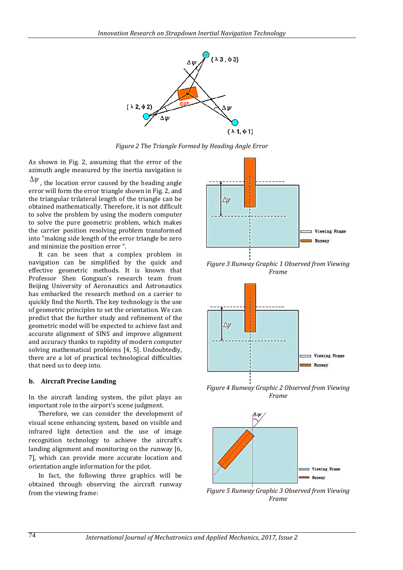

*Figure 2 The Triangle Formed by Heading Angle Error*

As shown in Fig. 2, assuming that the error of the azimuth angle measured by the inertia navigation is

 $\Delta \psi$  , the location error caused by the heading angle error will form the error triangle shown in Fig. 2, and the triangular trilateral length of the triangle can be obtained mathematically. Therefore, it is not difficult to solve the problem by using the modern computer to solve the pure geometric problem, which makes the carrier position resolving problem transformed into "making side length of the error triangle be zero and minimize the position error ".

It can be seen that a complex problem in navigation can be simplified by the quick and effective geometric methods. It is known that Professor Shen Gongxun's research team from Beijing University of Aeronautics and Astronautics has embarked the research method on a carrier to quickly find the North. The key technology is the use of geometric principles to set the orientation. We can predict that the further study and refinement of the geometric model will be expected to achieve fast and accurate alignment of SINS and improve alignment and accuracy thanks to rapidity of modern computer solving mathematical problems [4, 5]. Undoubtedly, there are a lot of practical technological difficulties that need us to deep into.

#### **b. Aircraft Precise Landing**

In the aircraft landing system, the pilot plays an important role in the airport's scene judgment.

Therefore, we can consider the development of visual scene enhancing system, based on visible and infrared light detection and the use of image recognition technology to achieve the aircraft's landing alignment and monitoring on the runway [6, 7], which can provide more accurate location and orientation angle information for the pilot.

In fact, the following three graphics will be obtained through observing the aircraft runway from the viewing frame:



*Figure 3 Runway Graphic 1 Observed from Viewing Frame*



*Figure 4 Runway Graphic 2 Observed from Viewing Frame*



*Figure 5 Runway Graphic 3 Observed from Viewing Frame*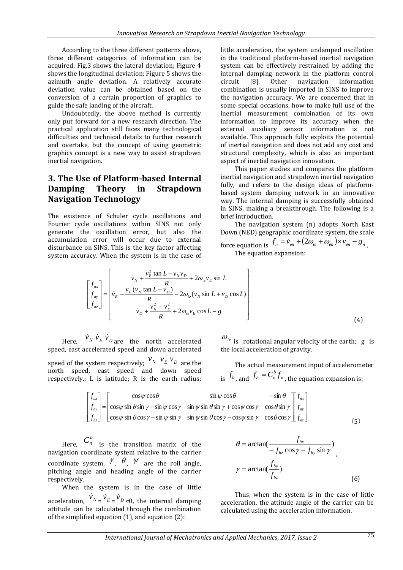According to the three different patterns above, three different categories of information can be acquired: Fig.3 shows the lateral deviation; Figure 4 shows the longitudinal deviation; Figure 5 shows the azimuth angle deviation. A relatively accurate deviation value can be obtained based on the conversion of a certain proportion of graphics to guide the safe landing of the aircraft.

Undoubtedly, the above method is currently only put forward for a new research direction. The practical application still faces many technological difficulties and technical details to further research and overtake, but the concept of using geometric graphics concept is a new way to assist strapdown inertial navigation.

# **3. The Use of Platform-based Internal Damping Theory in Strapdown Navigation Technology**

The existence of Schuler cycle oscillations and Fourier cycle oscillations within SINS not only generate the oscillation error, but also the accumulation error will occur due to external disturbance on SINS. This is the key factor affecting system accuracy. When the system is in the case of little acceleration, the system undamped oscillation in the traditional platform-based inertial navigation system can be effectively restrained by adding the internal damping network in the platform control circuit [8]. Other navigation information combination is usually imported in SINS to improve the navigation accuracy. We are concerned that in some special occasions, how to make full use of the inertial measurement combination of its own information to improve its accuracy when the external auxiliary sensor information is not available. This approach fully exploits the potential of inertial navigation and does not add any cost and structural complexity, which is also an important aspect of inertial navigation innovation.

This paper studies and compares the platform inertial navigation and strapdown inertial navigation fully, and refers to the design ideas of platformbased system damping network in an innovative way. The internal damping is successfully obtained in SINS, making a breakthrough. The following is a brief introduction.

The navigation system (n) adopts North East Down (NED) geographic coordinate system, the scale

force equation is  $f_n = \dot{v}_{en} + (2\omega_{ie} + \omega_{en}) \times v_{en} - g_n$ The equation expansion:

$$
\begin{bmatrix} f_{nx} \\ f_{ny} \\ f_{nz} \end{bmatrix} = \begin{bmatrix} \dot{v}_N + \frac{v_E^2 \tan L - v_N v_D}{R} + 2\omega_{ie} v_E \sin L \\ \dot{v}_E - \frac{v_E (v_N \tan L + v_D)}{R} - 2\omega_{ie} (v_N \sin L + v_D \cos L) \\ \dot{v}_D + \frac{v_N^2 + v_E^2}{R} + 2\omega_{ie} v_E \cos L - g \end{bmatrix}
$$
(4)

Here,  $\dot{v}_N \dot{v}_E \dot{v}_D$  are the north accelerated speed, east accelerated speed and down accelerated

speed of the system respectively;  $\frac{\mathcal{V}_N}{\mathcal{V}_E}$   $\frac{\mathcal{V}_E}{\mathcal{V}_D}$  are the north speed, east speed and down speed respectively.; L is latitude; R is the earth radius;

 $\omega_{ie}$  is [rotational](javascript:void(0);) [angular](javascript:void(0);) [velocity](javascript:void(0);) [of](javascript:void(0);) [the](javascript:void(0);) [earth;](javascript:void(0);) g is the local acceleration of gravity.

The actual measurement input of accelerometer is  $f_{b}$ , and  $f_{b} = C_{n}^{b} f_{n}$ *b*  $f_b = C_n^{\rho} f_n$  , the equation expansion is:

$$
\begin{bmatrix} f_{bx} \\ f_{by} \\ f_{bz} \end{bmatrix} = \begin{bmatrix} \cos\psi\cos\theta & \sin\psi\cos\theta & -\sin\theta \\ \cos\psi\sin\theta\sin\gamma - \sin\psi\cos\gamma & \sin\psi\sin\theta\sin\gamma + \cos\psi\cos\gamma & \cos\theta\sin\gamma \\ \cos\psi\sin\theta\cos\gamma + \sin\psi\sin\gamma & \sin\psi\sin\theta\cos\gamma - \cos\psi\sin\gamma & \cos\theta\cos\gamma \end{bmatrix} \begin{bmatrix} f_{nx} \\ f_{ny} \\ f_{nz} \end{bmatrix}
$$
 (5)

Here,  $C_n^b$  is the transition matrix of the navigation coordinate system relative to the carrier coordinate system,  $\gamma$ ,  $\theta$ ,  $\psi$  are the roll angle, pitching angle and heading angle of the carrier respectively.

When the system is in the case of little acceleration,  $\dot{v}_N = \dot{v}_E = \dot{v}_D \approx 0$ , the internal damping attitude can be calculated through the combination of the simplified equation (1), and equation (2):

$$
\theta = \arctan(\frac{f_{bx}}{-f_{bz}\cos\gamma - f_{by}\sin\gamma})
$$
\n
$$
\gamma = \arctan(\frac{f_{by}}{f_{bz}})
$$
\n(6)

Thus, when the system is in the case of little acceleration, the attitude angle of the carrier can be calculated using the acceleration information.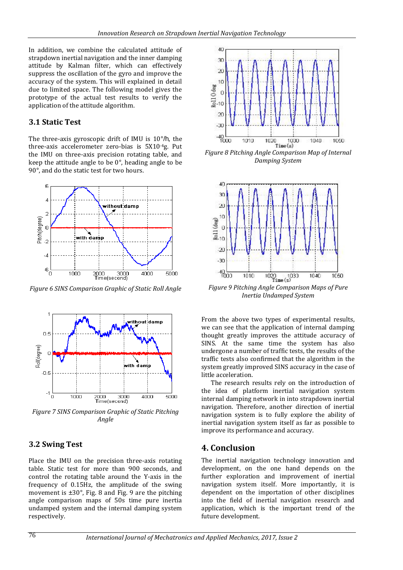In addition, we combine the calculated attitude of strapdown inertial navigation and the inner damping attitude by Kalman filter, which can effectively suppress the oscillation of the gyro and improve the accuracy of the system. This will explained in detail due to limited space. The following model gives the prototype of the actual test results to verify the application of the attitude algorithm.

#### **3.1 Static Test**

The three-axis gyroscopic drift of IMU is 10°/h, the three-axis accelerometer zero-bias is 5X10-4g. Put the IMU on three-axis precision rotating table, and keep the attitude angle to be 0°, heading angle to be 90°, and do the static test for two hours.



*Figure 6 SINS Comparison Graphic of Static Roll Angle*



*Figure 7 SINS Comparison Graphic of Static Pitching Angle*

# **3.2 Swing Test**

Place the IMU on the precision three-axis rotating table. Static test for more than 900 seconds, and control the rotating table around the Y-axis in the frequency of 0.15Hz, the amplitude of the swing movement is  $\pm 30^\circ$ , Fig. 8 and Fig. 9 are the pitching angle comparison maps of 50s time pure inertia undamped system and the internal damping system respectively.



*Figure 8 Pitching Angle Comparison Map of Internal Damping System*



*Figure 9 Pitching Angle Comparison Maps of Pure Inertia Undamped System*

From the above two types of experimental results, we can see that the application of internal damping thought greatly improves the attitude accuracy of SINS. At the same time the system has also undergone a number of traffic tests, the results of the traffic tests also confirmed that the algorithm in the system greatly improved SINS accuracy in the case of little acceleration.

The research results rely on the introduction of the idea of platform inertial navigation system internal damping network in into strapdown inertial navigation. Therefore, another direction of inertial navigation system is to fully explore the ability of inertial navigation system itself as far as possible to improve its performance and accuracy.

# **4. Conclusion**

The inertial navigation technology innovation and development, on the one hand depends on the further exploration and improvement of inertial navigation system itself. More importantly, it is dependent on the importation of other disciplines into the field of inertial navigation research and application, which is the important trend of the future development.